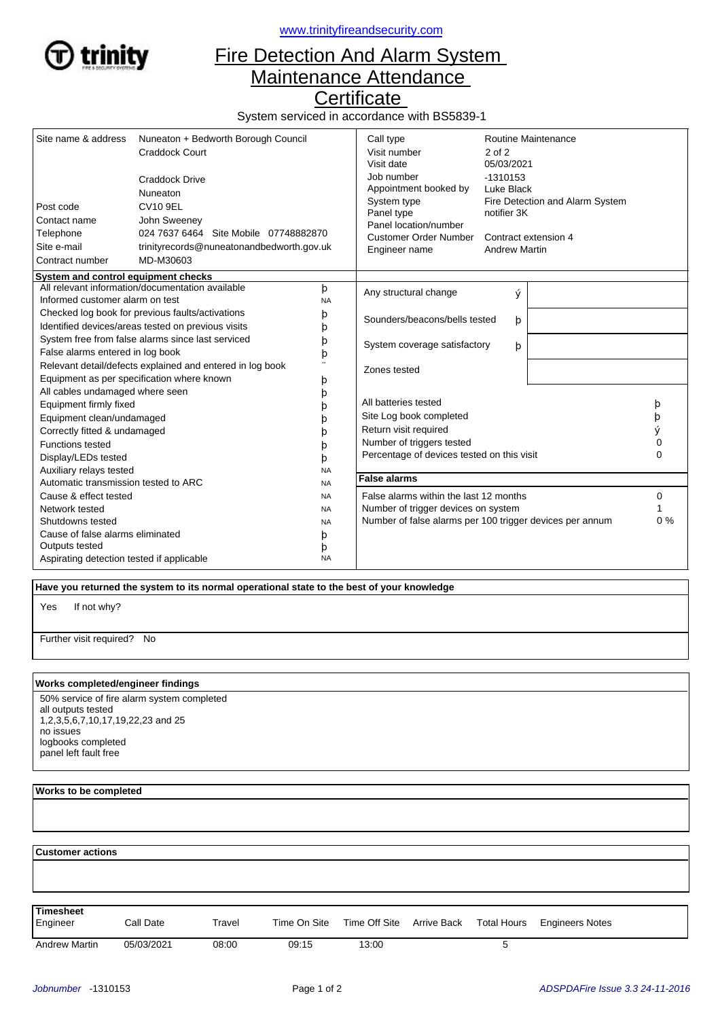

<www.trinityfireandsecurity.com>

## Fire Detection And Alarm System Maintenance Attendance

**Certificate** 

System serviced in accordance with BS5839-1

| Site name & address<br>Post code<br>Contact name<br>Telephone<br>Site e-mail                                                                                                                                    | Nuneaton + Bedworth Borough Council<br>Craddock Court<br><b>Craddock Drive</b><br>Nuneaton<br><b>CV10 9EL</b><br>John Sweeney<br>024 7637 6464 Site Mobile 07748882870<br>trinityrecords@nuneatonandbedworth.gov.uk<br>MD-M30603 |                                                          | Call type<br>Visit number<br>Visit date<br>Job number<br>Appointment booked by<br>System type<br>Panel type<br>Panel location/number<br><b>Customer Order Number</b> | Routine Maintenance<br>$2$ of $2$<br>05/03/2021<br>$-1310153$<br>Luke Black<br>Fire Detection and Alarm System<br>notifier 3K<br>Contract extension 4 |       |        |
|-----------------------------------------------------------------------------------------------------------------------------------------------------------------------------------------------------------------|----------------------------------------------------------------------------------------------------------------------------------------------------------------------------------------------------------------------------------|----------------------------------------------------------|----------------------------------------------------------------------------------------------------------------------------------------------------------------------|-------------------------------------------------------------------------------------------------------------------------------------------------------|-------|--------|
| Contract number                                                                                                                                                                                                 |                                                                                                                                                                                                                                  |                                                          | Engineer name                                                                                                                                                        | <b>Andrew Martin</b>                                                                                                                                  |       |        |
| System and control equipment checks                                                                                                                                                                             |                                                                                                                                                                                                                                  |                                                          |                                                                                                                                                                      |                                                                                                                                                       |       |        |
| Informed customer alarm on test                                                                                                                                                                                 | All relevant information/documentation available                                                                                                                                                                                 | þ<br><b>NA</b>                                           | Any structural change                                                                                                                                                | ý                                                                                                                                                     |       |        |
| Checked log book for previous faults/activations<br>Identified devices/areas tested on previous visits                                                                                                          |                                                                                                                                                                                                                                  | þ<br>þ                                                   | Sounders/beacons/bells tested<br>þ                                                                                                                                   |                                                                                                                                                       |       |        |
| System free from false alarms since last serviced<br>þ<br>False alarms entered in log book<br>þ<br>Relevant detail/defects explained and entered in log book<br>Equipment as per specification where known<br>þ |                                                                                                                                                                                                                                  |                                                          | System coverage satisfactory<br>þ                                                                                                                                    |                                                                                                                                                       |       |        |
|                                                                                                                                                                                                                 |                                                                                                                                                                                                                                  | Zones tested                                             |                                                                                                                                                                      |                                                                                                                                                       |       |        |
| All cables undamaged where seen<br>Equipment firmly fixed                                                                                                                                                       |                                                                                                                                                                                                                                  | b                                                        | All batteries tested                                                                                                                                                 |                                                                                                                                                       |       | þ      |
| Equipment clean/undamaged<br>Correctly fitted & undamaged                                                                                                                                                       |                                                                                                                                                                                                                                  | n                                                        | Site Log book completed<br>Return visit required                                                                                                                     |                                                                                                                                                       |       | þ<br>ý |
| <b>Functions tested</b><br>Display/LEDs tested                                                                                                                                                                  |                                                                                                                                                                                                                                  | b                                                        | Number of triggers tested<br>Percentage of devices tested on this visit                                                                                              |                                                                                                                                                       |       | 0<br>0 |
| Auxiliary relays tested<br>Automatic transmission tested to ARC                                                                                                                                                 |                                                                                                                                                                                                                                  | <b>NA</b><br><b>NA</b>                                   | <b>False alarms</b>                                                                                                                                                  |                                                                                                                                                       |       |        |
| Cause & effect tested<br><b>NA</b>                                                                                                                                                                              |                                                                                                                                                                                                                                  | False alarms within the last 12 months<br>0              |                                                                                                                                                                      |                                                                                                                                                       |       |        |
| Network tested<br><b>NA</b>                                                                                                                                                                                     |                                                                                                                                                                                                                                  | Number of trigger devices on system                      |                                                                                                                                                                      |                                                                                                                                                       |       |        |
| Shutdowns tested<br><b>NA</b>                                                                                                                                                                                   |                                                                                                                                                                                                                                  | Number of false alarms per 100 trigger devices per annum |                                                                                                                                                                      |                                                                                                                                                       | $0\%$ |        |
| Cause of false alarms eliminated<br>þ                                                                                                                                                                           |                                                                                                                                                                                                                                  |                                                          |                                                                                                                                                                      |                                                                                                                                                       |       |        |
| Outputs tested                                                                                                                                                                                                  |                                                                                                                                                                                                                                  | þ                                                        |                                                                                                                                                                      |                                                                                                                                                       |       |        |
| Aspirating detection tested if applicable                                                                                                                                                                       |                                                                                                                                                                                                                                  | <b>NA</b>                                                |                                                                                                                                                                      |                                                                                                                                                       |       |        |

 **Have you returned the system to its normal operational state to the best of your knowledge**

If not why? Yes

Further visit required? No

## **Works completed/engineer findings**

50% service of fire alarm system completed all outputs tested 1,2,3,5,6,7,10,17,19,22,23 and 25 no issues logbooks completed panel left fault free

## **Works to be completed**

  **Customer actions** Engineer Call Date Travel Time On Site Time Off Site Arrive Back Total Hours Engineers Notes **Timesheet** Arrive Back Andrew Martin 05/03/2021 08:00 09:15 13:00 5